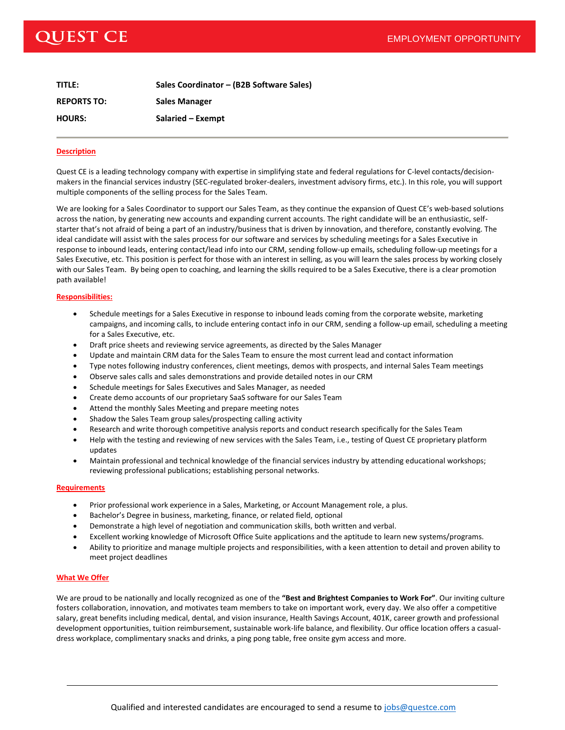# EMPLOYMENT OPPORTUNITY

# **QUEST CE**

| TITLE:             | Sales Coordinator - (B2B Software Sales) |
|--------------------|------------------------------------------|
| <b>REPORTS TO:</b> | <b>Sales Manager</b>                     |
| <b>HOURS:</b>      | Salaried - Exempt                        |

## **Description**

Quest CE is a leading technology company with expertise in simplifying state and federal regulations for C-level contacts/decisionmakers in the financial services industry (SEC-regulated broker-dealers, investment advisory firms, etc.). In this role, you will support multiple components of the selling process for the Sales Team.

We are looking for a Sales Coordinator to support our Sales Team, as they continue the expansion of Quest CE's web-based solutions across the nation, by generating new accounts and expanding current accounts. The right candidate will be an enthusiastic, selfstarter that's not afraid of being a part of an industry/business that is driven by innovation, and therefore, constantly evolving. The ideal candidate will assist with the sales process for our software and services by scheduling meetings for a Sales Executive in response to inbound leads, entering contact/lead info into our CRM, sending follow-up emails, scheduling follow-up meetings for a Sales Executive, etc. This position is perfect for those with an interest in selling, as you will learn the sales process by working closely with our Sales Team. By being open to coaching, and learning the skills required to be a Sales Executive, there is a clear promotion path available!

## **Responsibilities:**

- Schedule meetings for a Sales Executive in response to inbound leads coming from the corporate website, marketing campaigns, and incoming calls, to include entering contact info in our CRM, sending a follow-up email, scheduling a meeting for a Sales Executive, etc.
- Draft price sheets and reviewing service agreements, as directed by the Sales Manager
- Update and maintain CRM data for the Sales Team to ensure the most current lead and contact information
- Type notes following industry conferences, client meetings, demos with prospects, and internal Sales Team meetings
- Observe sales calls and sales demonstrations and provide detailed notes in our CRM
- Schedule meetings for Sales Executives and Sales Manager, as needed
- Create demo accounts of our proprietary SaaS software for our Sales Team
- Attend the monthly Sales Meeting and prepare meeting notes
- Shadow the Sales Team group sales/prospecting calling activity
- Research and write thorough competitive analysis reports and conduct research specifically for the Sales Team
- Help with the testing and reviewing of new services with the Sales Team, i.e., testing of Quest CE proprietary platform updates
- Maintain professional and technical knowledge of the financial services industry by attending educational workshops; reviewing professional publications; establishing personal networks.

#### **Requirements**

- Prior professional work experience in a Sales, Marketing, or Account Management role, a plus.
- Bachelor's Degree in business, marketing, finance, or related field, optional
- Demonstrate a high level of negotiation and communication skills, both written and verbal.
- Excellent working knowledge of Microsoft Office Suite applications and the aptitude to learn new systems/programs.
- Ability to prioritize and manage multiple projects and responsibilities, with a keen attention to detail and proven ability to meet project deadlines

#### **What We Offer**

We are proud to be nationally and locally recognized as one of the **"Best and Brightest Companies to Work For"**. Our inviting culture fosters collaboration, innovation, and motivates team members to take on important work, every day. We also offer a competitive salary, great benefits including medical, dental, and vision insurance, Health Savings Account, 401K, career growth and professional development opportunities, tuition reimbursement, sustainable work-life balance, and flexibility. Our office location offers a casualdress workplace, complimentary snacks and drinks, a ping pong table, free onsite gym access and more.